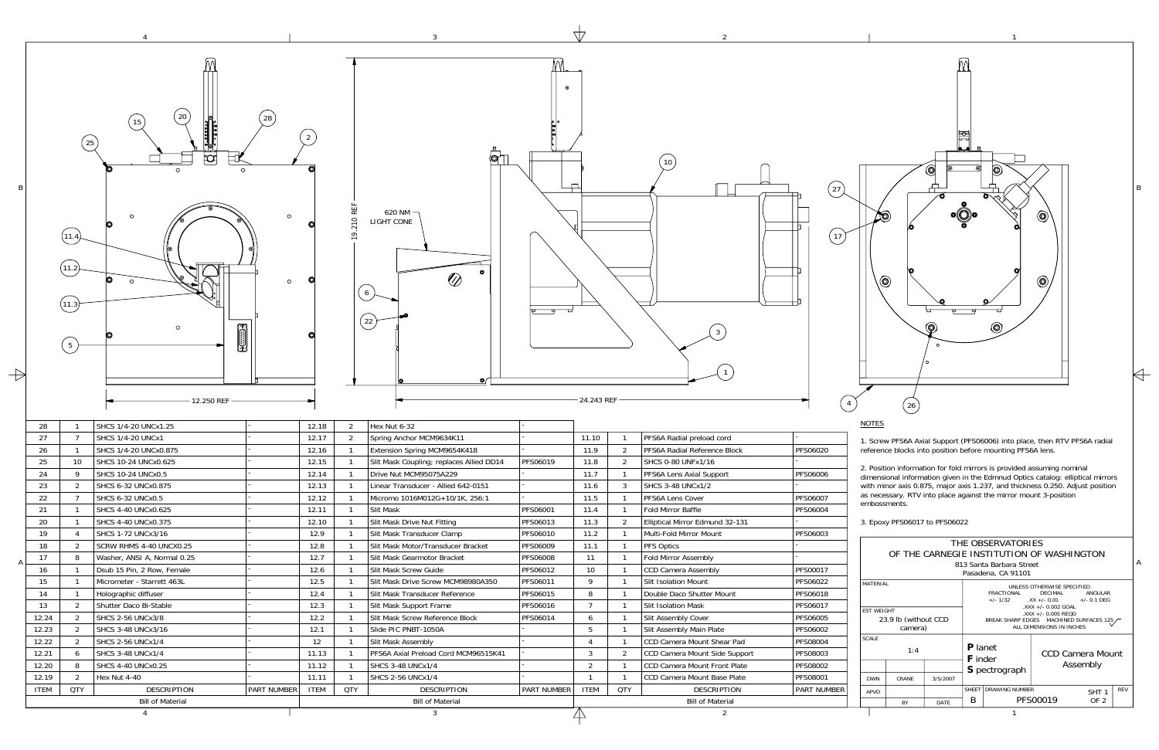

| THE OBSERVATORIES                         |                      |          |                                                                                                                         |                                                                                                    |                              |  |            |  |
|-------------------------------------------|----------------------|----------|-------------------------------------------------------------------------------------------------------------------------|----------------------------------------------------------------------------------------------------|------------------------------|--|------------|--|
| OF THE CARNEGIE INSTITUTION OF WASHINGTON |                      |          |                                                                                                                         |                                                                                                    |                              |  |            |  |
| 813 Santa Barbara Street                  |                      |          |                                                                                                                         |                                                                                                    |                              |  |            |  |
| Pasadena, CA 91101                        |                      |          |                                                                                                                         |                                                                                                    |                              |  |            |  |
| MATERIAL                                  |                      |          | UNLESS OTHERWISE SPECIFIED<br>FRACTIONAL<br><b>DECIMAL</b><br><b>ANGULAR</b><br>$+/- 1/32$ $.XX +/- 0.01$ $+/- 0.1$ DEG |                                                                                                    |                              |  |            |  |
| <b>FST WFIGHT</b>                         |                      |          |                                                                                                                         | $.$ XXX +/- 0.002 GOAL<br>$\lambda$ XXX +/- 0.005 REQD<br>BREAK SHARP EDGES MACHINED SURFACES 125, |                              |  |            |  |
|                                           | 23.9 lb (without CCD |          |                                                                                                                         |                                                                                                    |                              |  |            |  |
| camera)                                   |                      |          | ALL DIMENSIONS IN INCHES                                                                                                |                                                                                                    |                              |  |            |  |
| <b>SCALE</b>                              |                      |          |                                                                                                                         |                                                                                                    |                              |  |            |  |
|                                           | 1:4                  |          | <b>P</b> lanet<br><b>F</b> inder                                                                                        |                                                                                                    | CCD Camera Mount<br>Assembly |  |            |  |
|                                           |                      |          | S pectrograph                                                                                                           |                                                                                                    |                              |  |            |  |
| <b>DWN</b>                                | CRANF                | 3/5/2007 |                                                                                                                         |                                                                                                    |                              |  |            |  |
| <b>APVD</b>                               |                      |          | <b>DRAWING NUMBER</b><br><b>SHFFT</b>                                                                                   |                                                                                                    | SHT <sub>1</sub>             |  | <b>RFV</b> |  |
|                                           | <b>BY</b>            | DATE     | B                                                                                                                       | PFS00019<br>OF <sub>2</sub>                                                                        |                              |  |            |  |

 $\Leftarrow$ 

1. Screw PFS6A Axial Support (PFS06006) into place, then RTV PFS6A radial

dimensional information given in the Edmnud Optics catalog: elliptical mirrors with minor axis 0.875, major axis 1.237, and thickness 0.250. Adjust position